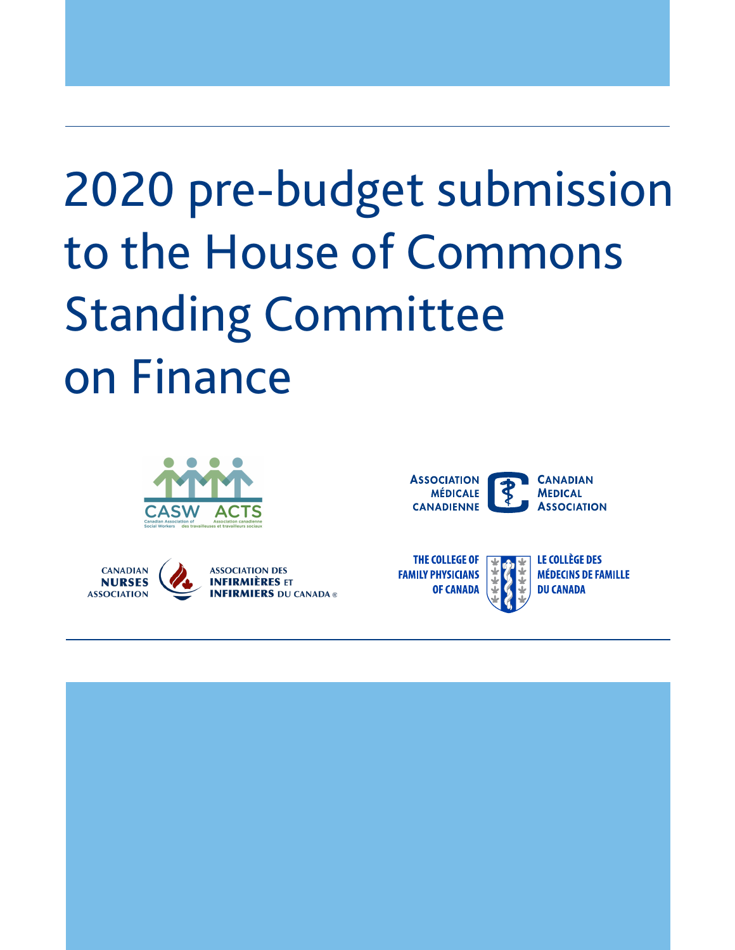# 2020 pre-budget submission to the House of Commons Standing Committee on Finance







**CANADIAN MEDICAL ASSOCIATION** 



LE COLLÈGE DES **MÉDECINS DE FAMILLE DU CANADA** 

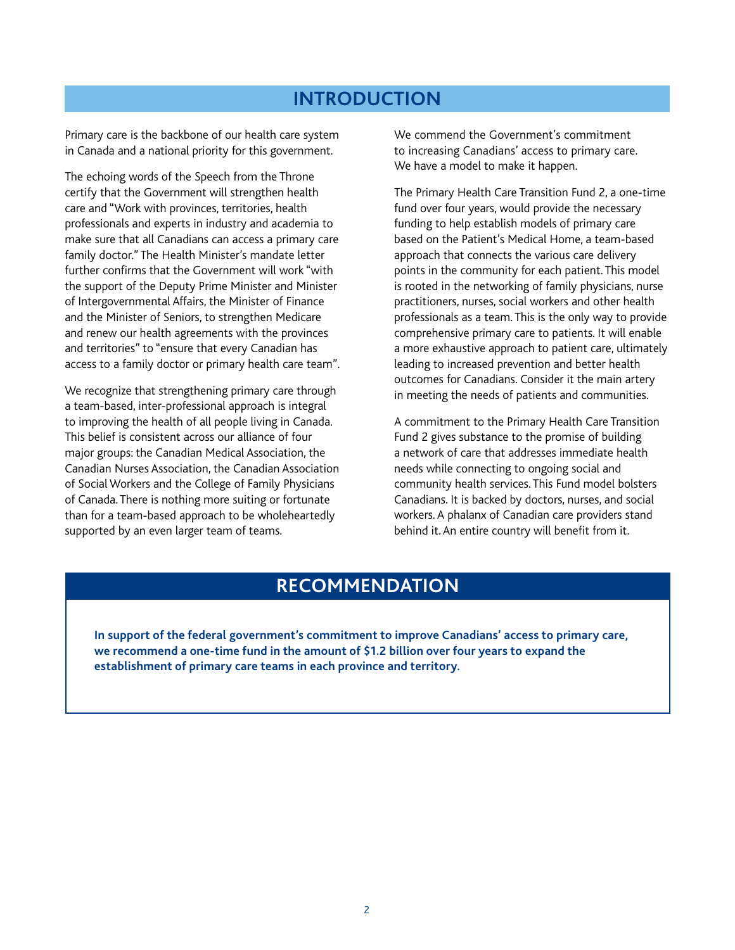#### **INTRODUCTION**

Primary care is the backbone of our health care system in Canada and a national priority for this government.

The echoing words of the Speech from the Throne certify that the Government will strengthen health care and "Work with provinces, territories, health professionals and experts in industry and academia to make sure that all Canadians can access a primary care family doctor." The Health Minister's mandate letter further confirms that the Government will work "with the support of the Deputy Prime Minister and Minister of Intergovernmental Affairs, the Minister of Finance and the Minister of Seniors, to strengthen Medicare and renew our health agreements with the provinces and territories" to "ensure that every Canadian has access to a family doctor or primary health care team".

We recognize that strengthening primary care through a team-based, inter-professional approach is integral to improving the health of all people living in Canada. This belief is consistent across our alliance of four major groups: the Canadian Medical Association, the Canadian Nurses Association, the Canadian Association of Social Workers and the College of Family Physicians of Canada. There is nothing more suiting or fortunate than for a team-based approach to be wholeheartedly supported by an even larger team of teams.

We commend the Government's commitment to increasing Canadians' access to primary care. We have a model to make it happen.

The Primary Health Care Transition Fund 2, a one-time fund over four years, would provide the necessary funding to help establish models of primary care based on the Patient's Medical Home, a team-based approach that connects the various care delivery points in the community for each patient. This model is rooted in the networking of family physicians, nurse practitioners, nurses, social workers and other health professionals as a team. This is the only way to provide comprehensive primary care to patients. It will enable a more exhaustive approach to patient care, ultimately leading to increased prevention and better health outcomes for Canadians. Consider it the main artery in meeting the needs of patients and communities.

A commitment to the Primary Health Care Transition Fund 2 gives substance to the promise of building a network of care that addresses immediate health needs while connecting to ongoing social and community health services. This Fund model bolsters Canadians. It is backed by doctors, nurses, and social workers. A phalanx of Canadian care providers stand behind it. An entire country will benefit from it.

#### **RECOMMENDATION**

**In support of the federal government's commitment to improve Canadians' access to primary care, we recommend a one-time fund in the amount of \$1.2 billion over four years to expand the establishment of primary care teams in each province and territory.**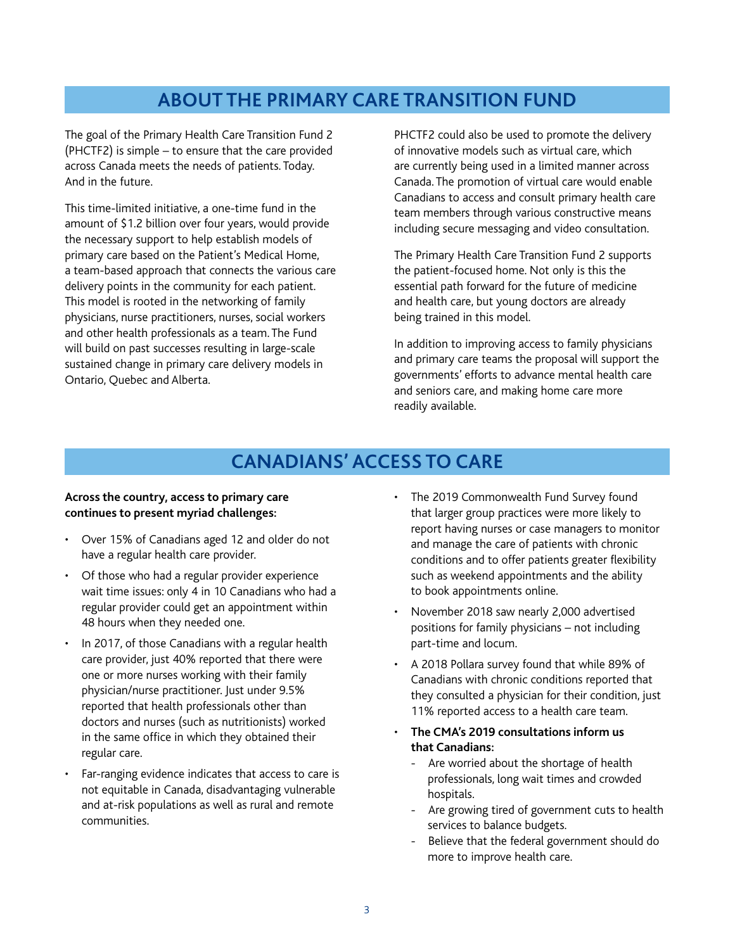### **ABOUT THE PRIMARY CARE TRANSITION FUND**

The goal of the Primary Health Care Transition Fund 2 (PHCTF2) is simple – to ensure that the care provided across Canada meets the needs of patients. Today. And in the future.

This time-limited initiative, a one-time fund in the amount of \$1.2 billion over four years, would provide the necessary support to help establish models of primary care based on the Patient's Medical Home, a team-based approach that connects the various care delivery points in the community for each patient. This model is rooted in the networking of family physicians, nurse practitioners, nurses, social workers and other health professionals as a team. The Fund will build on past successes resulting in large-scale sustained change in primary care delivery models in Ontario, Quebec and Alberta.

PHCTF2 could also be used to promote the delivery of innovative models such as virtual care, which are currently being used in a limited manner across Canada. The promotion of virtual care would enable Canadians to access and consult primary health care team members through various constructive means including secure messaging and video consultation.

The Primary Health Care Transition Fund 2 supports the patient-focused home. Not only is this the essential path forward for the future of medicine and health care, but young doctors are already being trained in this model.

In addition to improving access to family physicians and primary care teams the proposal will support the governments' efforts to advance mental health care and seniors care, and making home care more readily available.

## **CANADIANS' ACCESS TO CARE**

#### **Across the country, access to primary care continues to present myriad challenges:**

- Over 15% of Canadians aged 12 and older do not have a regular health care provider.
- Of those who had a regular provider experience wait time issues: only 4 in 10 Canadians who had a regular provider could get an appointment within 48 hours when they needed one.
- In 2017, of those Canadians with a regular health care provider, just 40% reported that there were one or more nurses working with their family physician/nurse practitioner. Just under 9.5% reported that health professionals other than doctors and nurses (such as nutritionists) worked in the same office in which they obtained their regular care.
- Far-ranging evidence indicates that access to care is not equitable in Canada, disadvantaging vulnerable and at-risk populations as well as rural and remote communities.
- The 2019 Commonwealth Fund Survey found that larger group practices were more likely to report having nurses or case managers to monitor and manage the care of patients with chronic conditions and to offer patients greater flexibility such as weekend appointments and the ability to book appointments online.
- November 2018 saw nearly 2,000 advertised positions for family physicians - not including part-time and locum.
- A 2018 Pollara survey found that while 89% of Canadians with chronic conditions reported that they consulted a physician for their condition, just 11% reported access to a health care team.
- •●**The CMA's 2019 consultations inform us**  that Canadians:
	- Are worried about the shortage of health professionals, long wait times and crowded hospitals.
	- Are growing tired of government cuts to health services to balance budgets.
	- Believe that the federal government should do more to improve health care.